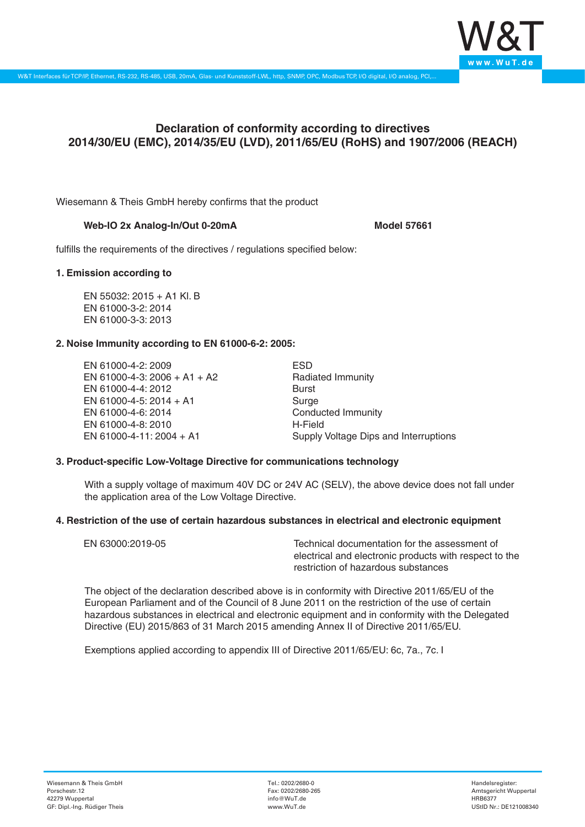

# **Declaration of conformity according to directives 2014/30/EU (EMC), 2014/35/EU (LVD), 2011/65/EU (RoHS) and 1907/2006 (REACH)**

Wiesemann & Theis GmbH hereby confirms that the product

## Web-IO 2x Analog-In/Out 0-20mA

fulfills the requirements of the directives / regulations specified below:

#### **1. Emission according to**

EN 55032: 2015 + A1 Kl. B EN 61000-3-2: 2014 EN 61000-3-3: 2013

## **2. Noise Immunity according to EN 61000-6-2: 2005:**

EN 61000-4-2: 2009 EN 61000-4-3: 2006 + A1 + A2 EN 61000-4-4: 2012 EN 61000-4-5: 2014 + A1 EN 61000-4-6: 2014 EN 61000-4-8: 2010 EN 61000-4-11: 2004 + A1

ESD Radiated Immunity Burst Surge Conducted Immunity H-Field Supply Voltage Dips and Interruptions

## **3. Product-specific Low-Voltage Directive for communications technology**

With a supply voltage of maximum 40V DC or 24V AC (SELV), the above device does not fall under the application area of the Low Voltage Directive.

## **4. Restriction of the use of certain hazardous substances in electrical and electronic equipment**

| EN 63000:2019-05 | Technical documentation for the assessment of          |
|------------------|--------------------------------------------------------|
|                  | electrical and electronic products with respect to the |
|                  | restriction of hazardous substances                    |

The object of the declaration described above is in conformity with Directive 2011/65/EU of the European Parliament and of the Council of 8 June 2011 on the restriction of the use of certain hazardous substances in electrical and electronic equipment and in conformity with the Delegated Directive (EU) 2015/863 of 31 March 2015 amending Annex II of Directive 2011/65/EU.

Exemptions applied according to appendix III of Directive 2011/65/EU: 6c, 7a., 7c. I